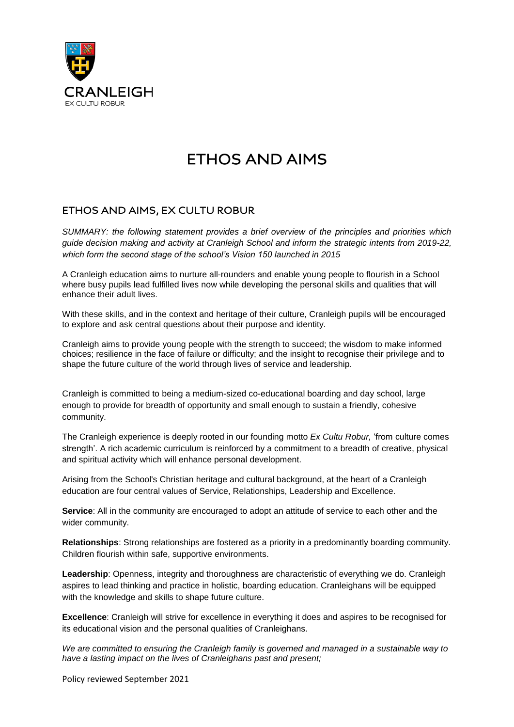

# **FTHOS AND AIMS**

## ETHOS AND AIMS, EX CULTU ROBUR

*SUMMARY: the following statement provides a brief overview of the principles and priorities which guide decision making and activity at Cranleigh School and inform the strategic intents from 2019-22, which form the second stage of the school's Vision 150 launched in 2015*

A Cranleigh education aims to nurture all-rounders and enable young people to flourish in a School where busy pupils lead fulfilled lives now while developing the personal skills and qualities that will enhance their adult lives.

With these skills, and in the context and heritage of their culture, Cranleigh pupils will be encouraged to explore and ask central questions about their purpose and identity.

Cranleigh aims to provide young people with the strength to succeed; the wisdom to make informed choices; resilience in the face of failure or difficulty; and the insight to recognise their privilege and to shape the future culture of the world through lives of service and leadership.

Cranleigh is committed to being a medium-sized co-educational boarding and day school, large enough to provide for breadth of opportunity and small enough to sustain a friendly, cohesive community.

The Cranleigh experience is deeply rooted in our founding motto *Ex Cultu Robur,* 'from culture comes strength'. A rich academic curriculum is reinforced by a commitment to a breadth of creative, physical and spiritual activity which will enhance personal development.

Arising from the School's Christian heritage and cultural background, at the heart of a Cranleigh education are four central values of Service, Relationships, Leadership and Excellence.

**Service**: All in the community are encouraged to adopt an attitude of service to each other and the wider community.

**Relationships**: Strong relationships are fostered as a priority in a predominantly boarding community. Children flourish within safe, supportive environments.

**Leadership**: Openness, integrity and thoroughness are characteristic of everything we do. Cranleigh aspires to lead thinking and practice in holistic, boarding education. Cranleighans will be equipped with the knowledge and skills to shape future culture.

**Excellence**: Cranleigh will strive for excellence in everything it does and aspires to be recognised for its educational vision and the personal qualities of Cranleighans.

*We are committed to ensuring the Cranleigh family is governed and managed in a sustainable way to have a lasting impact on the lives of Cranleighans past and present;*

Policy reviewed September 2021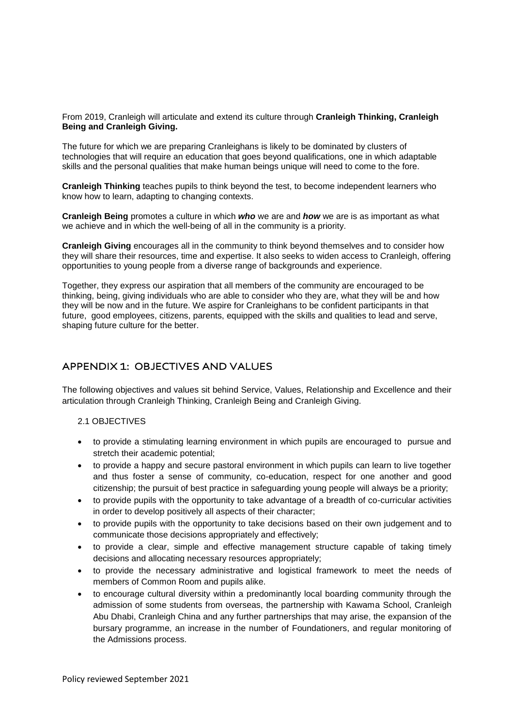From 2019, Cranleigh will articulate and extend its culture through **Cranleigh Thinking, Cranleigh Being and Cranleigh Giving.**

The future for which we are preparing Cranleighans is likely to be dominated by clusters of technologies that will require an education that goes beyond qualifications, one in which adaptable skills and the personal qualities that make human beings unique will need to come to the fore.

**Cranleigh Thinking** teaches pupils to think beyond the test, to become independent learners who know how to learn, adapting to changing contexts.

**Cranleigh Being** promotes a culture in which *who* we are and *how* we are is as important as what we achieve and in which the well-being of all in the community is a priority.

**Cranleigh Giving** encourages all in the community to think beyond themselves and to consider how they will share their resources, time and expertise. It also seeks to widen access to Cranleigh, offering opportunities to young people from a diverse range of backgrounds and experience.

Together, they express our aspiration that all members of the community are encouraged to be thinking, being, giving individuals who are able to consider who they are, what they will be and how they will be now and in the future. We aspire for Cranleighans to be confident participants in that future, good employees, citizens, parents, equipped with the skills and qualities to lead and serve, shaping future culture for the better.

### APPENDIX 1: OBJECTIVES AND VALUES

The following objectives and values sit behind Service, Values, Relationship and Excellence and their articulation through Cranleigh Thinking, Cranleigh Being and Cranleigh Giving.

- 2.1 OBJECTIVES
- to provide a stimulating learning environment in which pupils are encouraged to pursue and stretch their academic potential;
- to provide a happy and secure pastoral environment in which pupils can learn to live together and thus foster a sense of community, co-education, respect for one another and good citizenship; the pursuit of best practice in safeguarding young people will always be a priority;
- to provide pupils with the opportunity to take advantage of a breadth of co-curricular activities in order to develop positively all aspects of their character;
- to provide pupils with the opportunity to take decisions based on their own judgement and to communicate those decisions appropriately and effectively;
- to provide a clear, simple and effective management structure capable of taking timely decisions and allocating necessary resources appropriately;
- to provide the necessary administrative and logistical framework to meet the needs of members of Common Room and pupils alike.
- to encourage cultural diversity within a predominantly local boarding community through the admission of some students from overseas, the partnership with Kawama School, Cranleigh Abu Dhabi, Cranleigh China and any further partnerships that may arise, the expansion of the bursary programme, an increase in the number of Foundationers, and regular monitoring of the Admissions process.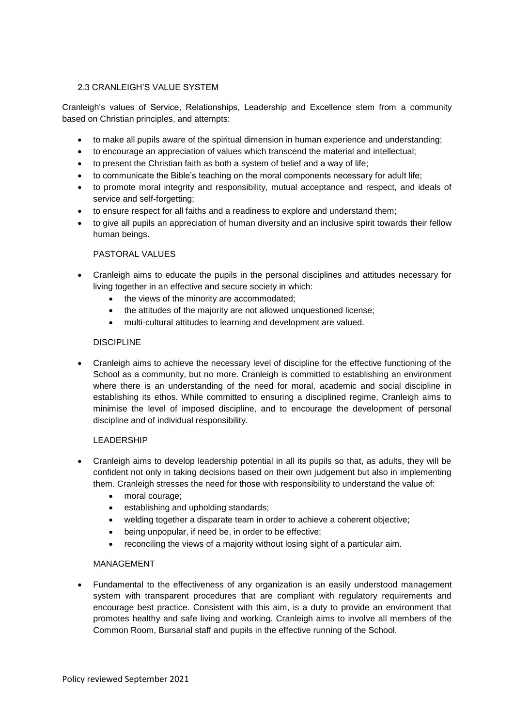#### 2.3 CRANLEIGH'S VALUE SYSTEM

Cranleigh's values of Service, Relationships, Leadership and Excellence stem from a community based on Christian principles, and attempts:

- to make all pupils aware of the spiritual dimension in human experience and understanding;
- to encourage an appreciation of values which transcend the material and intellectual;
- to present the Christian faith as both a system of belief and a way of life;
- to communicate the Bible's teaching on the moral components necessary for adult life;
- to promote moral integrity and responsibility, mutual acceptance and respect, and ideals of service and self-forgetting;
- to ensure respect for all faiths and a readiness to explore and understand them;
- to give all pupils an appreciation of human diversity and an inclusive spirit towards their fellow human beings.

#### PASTORAL VALUES

- Cranleigh aims to educate the pupils in the personal disciplines and attitudes necessary for living together in an effective and secure society in which:
	- the views of the minority are accommodated;
	- the attitudes of the majority are not allowed unquestioned license:
	- multi-cultural attitudes to learning and development are valued.

#### **DISCIPLINE**

• Cranleigh aims to achieve the necessary level of discipline for the effective functioning of the School as a community, but no more. Cranleigh is committed to establishing an environment where there is an understanding of the need for moral, academic and social discipline in establishing its ethos. While committed to ensuring a disciplined regime, Cranleigh aims to minimise the level of imposed discipline, and to encourage the development of personal discipline and of individual responsibility.

#### LEADERSHIP

- Cranleigh aims to develop leadership potential in all its pupils so that, as adults, they will be confident not only in taking decisions based on their own judgement but also in implementing them. Cranleigh stresses the need for those with responsibility to understand the value of:
	- moral courage;
	- establishing and upholding standards;
	- welding together a disparate team in order to achieve a coherent objective;
	- being unpopular, if need be, in order to be effective;
	- reconciling the views of a majority without losing sight of a particular aim.

#### MANAGEMENT

• Fundamental to the effectiveness of any organization is an easily understood management system with transparent procedures that are compliant with regulatory requirements and encourage best practice. Consistent with this aim, is a duty to provide an environment that promotes healthy and safe living and working. Cranleigh aims to involve all members of the Common Room, Bursarial staff and pupils in the effective running of the School.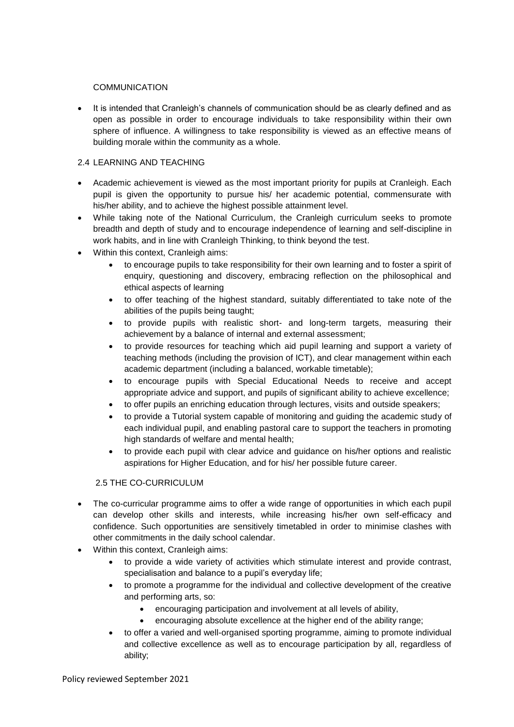#### **COMMUNICATION**

• It is intended that Cranleigh's channels of communication should be as clearly defined and as open as possible in order to encourage individuals to take responsibility within their own sphere of influence. A willingness to take responsibility is viewed as an effective means of building morale within the community as a whole.

#### 2.4 LEARNING AND TEACHING

- Academic achievement is viewed as the most important priority for pupils at Cranleigh. Each pupil is given the opportunity to pursue his/ her academic potential, commensurate with his/her ability, and to achieve the highest possible attainment level.
- While taking note of the National Curriculum, the Cranleigh curriculum seeks to promote breadth and depth of study and to encourage independence of learning and self-discipline in work habits, and in line with Cranleigh Thinking, to think beyond the test.
- Within this context, Cranleigh aims:
	- to encourage pupils to take responsibility for their own learning and to foster a spirit of enquiry, questioning and discovery, embracing reflection on the philosophical and ethical aspects of learning
	- to offer teaching of the highest standard, suitably differentiated to take note of the abilities of the pupils being taught;
	- to provide pupils with realistic short- and long-term targets, measuring their achievement by a balance of internal and external assessment;
	- to provide resources for teaching which aid pupil learning and support a variety of teaching methods (including the provision of ICT), and clear management within each academic department (including a balanced, workable timetable);
	- to encourage pupils with Special Educational Needs to receive and accept appropriate advice and support, and pupils of significant ability to achieve excellence;
	- to offer pupils an enriching education through lectures, visits and outside speakers;
	- to provide a Tutorial system capable of monitoring and guiding the academic study of each individual pupil, and enabling pastoral care to support the teachers in promoting high standards of welfare and mental health;
	- to provide each pupil with clear advice and guidance on his/her options and realistic aspirations for Higher Education, and for his/ her possible future career.

#### 2.5 THE CO-CURRICULUM

- The co-curricular programme aims to offer a wide range of opportunities in which each pupil can develop other skills and interests, while increasing his/her own self-efficacy and confidence. Such opportunities are sensitively timetabled in order to minimise clashes with other commitments in the daily school calendar.
- Within this context, Cranleigh aims:
	- to provide a wide variety of activities which stimulate interest and provide contrast, specialisation and balance to a pupil's everyday life;
	- to promote a programme for the individual and collective development of the creative and performing arts, so:
		- encouraging participation and involvement at all levels of ability,
		- encouraging absolute excellence at the higher end of the ability range;
	- to offer a varied and well-organised sporting programme, aiming to promote individual and collective excellence as well as to encourage participation by all, regardless of ability;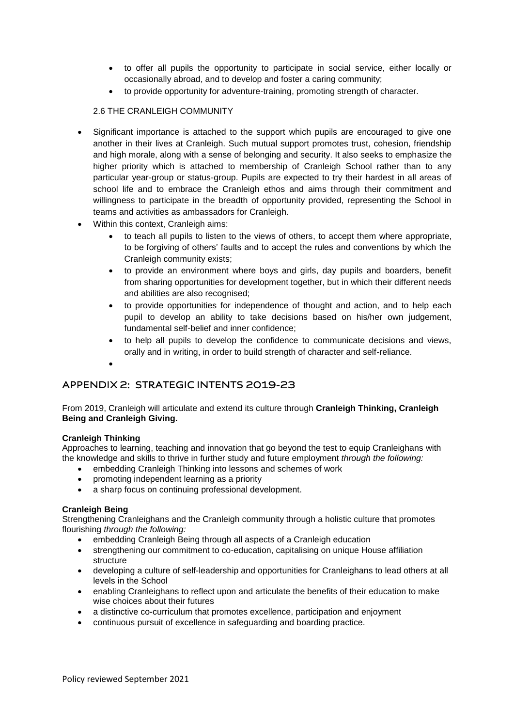- to offer all pupils the opportunity to participate in social service, either locally or occasionally abroad, and to develop and foster a caring community;
- to provide opportunity for adventure-training, promoting strength of character.

#### 2.6 THE CRANLEIGH COMMUNITY

- Significant importance is attached to the support which pupils are encouraged to give one another in their lives at Cranleigh. Such mutual support promotes trust, cohesion, friendship and high morale, along with a sense of belonging and security. It also seeks to emphasize the higher priority which is attached to membership of Cranleigh School rather than to any particular year-group or status-group. Pupils are expected to try their hardest in all areas of school life and to embrace the Cranleigh ethos and aims through their commitment and willingness to participate in the breadth of opportunity provided, representing the School in teams and activities as ambassadors for Cranleigh.
- Within this context, Cranleigh aims:
	- to teach all pupils to listen to the views of others, to accept them where appropriate, to be forgiving of others' faults and to accept the rules and conventions by which the Cranleigh community exists;
	- to provide an environment where boys and girls, day pupils and boarders, benefit from sharing opportunities for development together, but in which their different needs and abilities are also recognised;
	- to provide opportunities for independence of thought and action, and to help each pupil to develop an ability to take decisions based on his/her own judgement, fundamental self-belief and inner confidence;
	- to help all pupils to develop the confidence to communicate decisions and views, orally and in writing, in order to build strength of character and self-reliance.
	- •

## APPENDIX 2: STRATEGIC INTENTS 2019-23

From 2019, Cranleigh will articulate and extend its culture through **Cranleigh Thinking, Cranleigh Being and Cranleigh Giving.**

#### **Cranleigh Thinking**

Approaches to learning, teaching and innovation that go beyond the test to equip Cranleighans with the knowledge and skills to thrive in further study and future employment *through the following:*

- embedding Cranleigh Thinking into lessons and schemes of work
- promoting independent learning as a priority
- a sharp focus on continuing professional development.

#### **Cranleigh Being**

Strengthening Cranleighans and the Cranleigh community through a holistic culture that promotes flourishing *through the following:*

- embedding Cranleigh Being through all aspects of a Cranleigh education
- strengthening our commitment to co-education, capitalising on unique House affiliation structure
- developing a culture of self-leadership and opportunities for Cranleighans to lead others at all levels in the School
- enabling Cranleighans to reflect upon and articulate the benefits of their education to make wise choices about their futures
- a distinctive co-curriculum that promotes excellence, participation and enjoyment
- continuous pursuit of excellence in safeguarding and boarding practice.